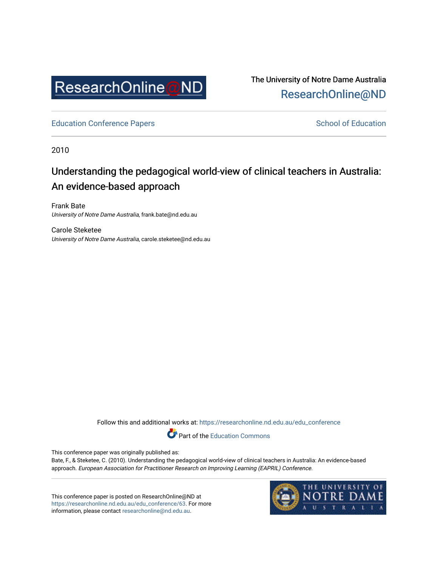

The University of Notre Dame Australia [ResearchOnline@ND](https://researchonline.nd.edu.au/) 

[Education Conference Papers](https://researchonline.nd.edu.au/edu_conference) **School of Education** School of Education

2010

# Understanding the pedagogical world-view of clinical teachers in Australia: An evidence-based approach

Frank Bate University of Notre Dame Australia, frank.bate@nd.edu.au

Carole Steketee University of Notre Dame Australia, carole.steketee@nd.edu.au

Follow this and additional works at: [https://researchonline.nd.edu.au/edu\\_conference](https://researchonline.nd.edu.au/edu_conference?utm_source=researchonline.nd.edu.au%2Fedu_conference%2F63&utm_medium=PDF&utm_campaign=PDFCoverPages)

Part of the [Education Commons](http://network.bepress.com/hgg/discipline/784?utm_source=researchonline.nd.edu.au%2Fedu_conference%2F63&utm_medium=PDF&utm_campaign=PDFCoverPages) 

This conference paper was originally published as:

Bate, F., & Steketee, C. (2010). Understanding the pedagogical world-view of clinical teachers in Australia: An evidence-based approach. European Association for Practitioner Research on Improving Learning (EAPRIL) Conference.

This conference paper is posted on ResearchOnline@ND at [https://researchonline.nd.edu.au/edu\\_conference/63.](https://researchonline.nd.edu.au/edu_conference/63) For more information, please contact [researchonline@nd.edu.au.](mailto:researchonline@nd.edu.au)

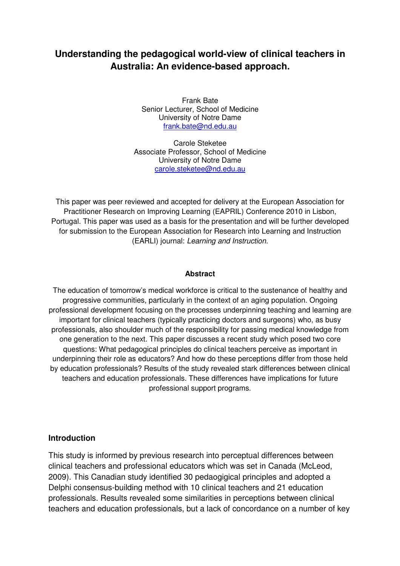## **Understanding the pedagogical world-view of clinical teachers in Australia: An evidence-based approach.**

Frank Bate Senior Lecturer, School of Medicine University of Notre Dame frank.bate@nd.edu.au

Carole Steketee Associate Professor, School of Medicine University of Notre Dame carole.steketee@nd.edu.au

This paper was peer reviewed and accepted for delivery at the European Association for Practitioner Research on Improving Learning (EAPRIL) Conference 2010 in Lisbon, Portugal. This paper was used as a basis for the presentation and will be further developed for submission to the European Association for Research into Learning and Instruction (EARLI) journal: Learning and Instruction.

#### **Abstract**

The education of tomorrow's medical workforce is critical to the sustenance of healthy and progressive communities, particularly in the context of an aging population. Ongoing professional development focusing on the processes underpinning teaching and learning are important for clinical teachers (typically practicing doctors and surgeons) who, as busy professionals, also shoulder much of the responsibility for passing medical knowledge from one generation to the next. This paper discusses a recent study which posed two core questions: What pedagogical principles do clinical teachers perceive as important in underpinning their role as educators? And how do these perceptions differ from those held by education professionals? Results of the study revealed stark differences between clinical teachers and education professionals. These differences have implications for future professional support programs.

#### **Introduction**

This study is informed by previous research into perceptual differences between clinical teachers and professional educators which was set in Canada (McLeod, 2009). This Canadian study identified 30 pedaogigical principles and adopted a Delphi consensus-building method with 10 clinical teachers and 21 education professionals. Results revealed some similarities in perceptions between clinical teachers and education professionals, but a lack of concordance on a number of key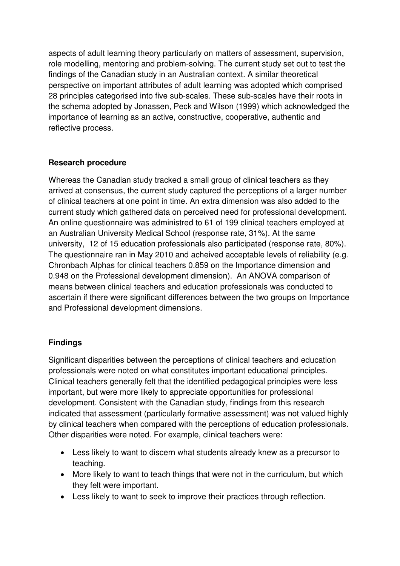aspects of adult learning theory particularly on matters of assessment, supervision, role modelling, mentoring and problem-solving. The current study set out to test the findings of the Canadian study in an Australian context. A similar theoretical perspective on important attributes of adult learning was adopted which comprised 28 principles categorised into five sub-scales. These sub-scales have their roots in the schema adopted by Jonassen, Peck and Wilson (1999) which acknowledged the importance of learning as an active, constructive, cooperative, authentic and reflective process.

## **Research procedure**

Whereas the Canadian study tracked a small group of clinical teachers as they arrived at consensus, the current study captured the perceptions of a larger number of clinical teachers at one point in time. An extra dimension was also added to the current study which gathered data on perceived need for professional development. An online questionnaire was administred to 61 of 199 clinical teachers employed at an Australian University Medical School (response rate, 31%). At the same university, 12 of 15 education professionals also participated (response rate, 80%). The questionnaire ran in May 2010 and acheived acceptable levels of reliability (e.g. Chronbach Alphas for clinical teachers 0.859 on the Importance dimension and 0.948 on the Professional development dimension). An ANOVA comparison of means between clinical teachers and education professionals was conducted to ascertain if there were significant differences between the two groups on Importance and Professional development dimensions.

#### **Findings**

Significant disparities between the perceptions of clinical teachers and education professionals were noted on what constitutes important educational principles. Clinical teachers generally felt that the identified pedagogical principles were less important, but were more likely to appreciate opportunities for professional development. Consistent with the Canadian study, findings from this research indicated that assessment (particularly formative assessment) was not valued highly by clinical teachers when compared with the perceptions of education professionals. Other disparities were noted. For example, clinical teachers were:

- Less likely to want to discern what students already knew as a precursor to teaching.
- More likely to want to teach things that were not in the curriculum, but which they felt were important.
- Less likely to want to seek to improve their practices through reflection.